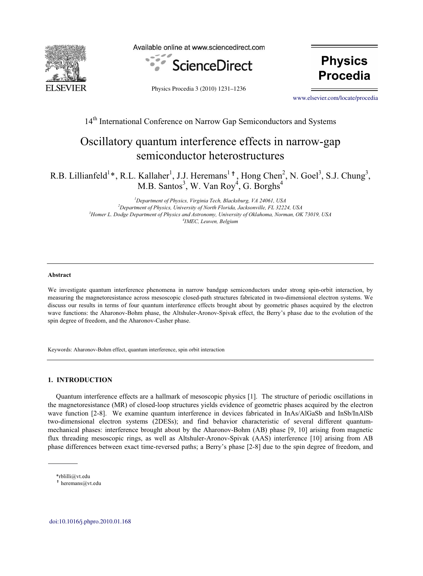

Available online at www.sciencedirect.com





Physics Procedia 3 (2010) 1231–1236

www.elsevier.com/locate/procedia [www.elsevier.com/locate/procedia](http://www.elsevier.com/locate/procedia)

# 14<sup>th</sup> International Conference on Narrow Gap Semiconductors and Systems

# Oscillatory quantum interference effects in narrow-gap semiconductor heterostructures

R.B. Lillianfeld<sup>1</sup>\*, R.L. Kallaher<sup>1</sup>, J.J. Heremans<sup>1†</sup>, Hong Chen<sup>2</sup>, N. Goel<sup>3</sup>, S.J. Chung<sup>3</sup>, M.B. Santos<sup>3</sup>, W. Van Roy<sup>4</sup>, G. Borghs<sup>4</sup>

> *1 Department of Physics, Virginia Tech, Blacksburg, VA 24061, USA 2* <sup>2</sup>Department of Physics, University of North Florida, Jacksonville, FL 32224, USA <sup>3</sup> Homer L. Dodge Department of Physics and Astronomy, University of Oklahoma, Norman, OK 73019, USA *IMEC, Leuven, Belgium*

#### **Abstract**

We investigate quantum interference phenomena in narrow bandgap semiconductors under strong spin-orbit interaction, by measuring the magnetoresistance across mesoscopic closed-path structures fabricated in two-dimensional electron systems. We discuss our results in terms of four quantum interference effects brought about by geometric phases acquired by the electron wave functions: the Aharonov-Bohm phase, the Altshuler-Aronov-Spivak effect, the Berry's phase due to the evolution of the spin degree of freedom, and the Aharonov-Casher phase.

Keywords: Aharonov-Bohm effect, quantum interference, spin orbit interaction

# **1. INTRODUCTION**

Quantum interference effects are a hallmark of mesoscopic physics [1]. The structure of periodic oscillations in the magnetoresistance (MR) of closed-loop structures yields evidence of geometric phases acquired by the electron wave function [2-8]. We examine quantum interference in devices fabricated in InAs/AlGaSb and InSb/InAlSb two-dimensional electron systems (2DESs); and find behavior characteristic of several different quantummechanical phases: interference brought about by the Aharonov-Bohm (AB) phase [9, 10] arising from magnetic flux threading mesoscopic rings, as well as Altshuler-Aronov-Spivak (AAS) interference [10] arising from AB phase differences between exact time-reversed paths; a Berry's phase [2-8] due to the spin degree of freedom, and

<sup>\*</sup>rblilli@vt.edu

**<sup>†</sup>** heremans@vt.edu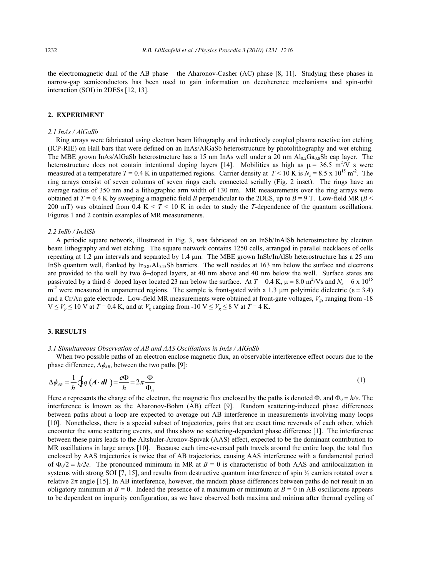the electromagnetic dual of the AB phase – the Aharonov-Casher (AC) phase [8, 11]. Studying these phases in narrow-gap semiconductors has been used to gain information on decoherence mechanisms and spin-orbit interaction (SOI) in 2DESs [12, 13].

# **2. EXPERIMENT**

#### *2.1 InAs / AlGaSb*

Ring arrays were fabricated using electron beam lithography and inductively coupled plasma reactive ion etching (ICP-RIE) on Hall bars that were defined on an InAs/AlGaSb heterostructure by photolithography and wet etching. The MBE grown InAs/AlGaSb heterostructure has a 15 nm InAs well under a 20 nm  $Al_0$ ,  $Ga_0$ , sb cap layer. The heterostructure does not contain intentional doping layers [14]. Mobilities as high as  $\mu = 36.5 \text{ m}^2/\text{V}$  s were measured at a temperature  $T = 0.4$  K in unpatterned regions. Carrier density at  $T < 10$  K is  $N_s = 8.5 \times 10^{15}$  m<sup>-2</sup>. The ring arrays consist of seven columns of seven rings each, connected serially (Fig. 2 inset). The rings have an average radius of 350 nm and a lithographic arm width of 130 nm. MR measurements over the ring arrays were obtained at  $T = 0.4$  K by sweeping a magnetic field *B* perpendicular to the 2DES, up to  $B = 9$  T. Low-field MR ( $B <$ 200 mT) was obtained from 0.4 K  $\lt T \lt 10$  K in order to study the *T*-dependence of the quantum oscillations. Figures 1 and 2 contain examples of MR measurements.

#### *2.2 InSb / InAlSb*

A periodic square network, illustrated in Fig. 3, was fabricated on an InSb/InAlSb heterostructure by electron beam lithography and wet etching. The square network contains 1250 cells, arranged in parallel necklaces of cells repeating at 1.2  $\mu$ m intervals and separated by 1.4  $\mu$ m. The MBE grown InSb/InAlSb heterostructure has a 25 nm InSb quantum well, flanked by  $In<sub>0.85</sub>Al<sub>0.15</sub>Sb$  barriers. The well resides at 163 nm below the surface and electrons are provided to the well by two  $\delta$ -doped layers, at 40 nm above and 40 nm below the well. Surface states are passivated by a third  $\delta$ -doped layer located 23 nm below the surface. At  $T = 0.4$  K,  $\mu = 8.0$  m<sup>2</sup>/Vs and  $N_s = 6 \times 10^{15}$ m<sup>-2</sup> were measured in unpatterned regions. The sample is front-gated with a 1.3 µm polyimide dielectric ( $\varepsilon$  = 3.4) and a Cr/Au gate electrode. Low-field MR measurements were obtained at front-gate voltages,  $V_{\varphi}$ , ranging from -18  $V \le V_g \le 10$  V at  $T = 0.4$  K, and at  $V_g$  ranging from -10 V  $\le V_g \le 8$  V at  $T = 4$  K.

# **3. RESULTS**

#### *3.1 Simultaneous Observation of AB and AAS Oscillations in InAs / AlGaSb*

When two possible paths of an electron enclose magnetic flux, an observable interference effect occurs due to the phase difference,  $\Delta \phi_{AB}$ , between the two paths [9]:

$$
\Delta \phi_{AB} = \frac{1}{\hbar} \oint q \left( A \cdot dl \right) = \frac{e\Phi}{\hbar} = 2\pi \frac{\Phi}{\Phi_0} \tag{1}
$$

Here *e* represents the charge of the electron, the magnetic flux enclosed by the paths is denoted  $\Phi$ , and  $\Phi_0 = h/e$ . The interference is known as the Aharonov-Bohm (AB) effect [9]. Random scattering-induced phase differences between paths about a loop are expected to average out AB interference in measurements involving many loops [10]. Nonetheless, there is a special subset of trajectories, pairs that are exact time reversals of each other, which encounter the same scattering events, and thus show no scattering-dependent phase difference [1]. The interference between these pairs leads to the Altshuler-Aronov-Spivak (AAS) effect, expected to be the dominant contribution to MR oscillations in large arrays [10]. Because each time-reversed path travels around the entire loop, the total flux enclosed by AAS trajectories is twice that of AB trajectories, causing AAS interference with a fundamental period of  $\Phi_0/2 = h/2e$ . The pronounced minimum in MR at  $B = 0$  is characteristic of both AAS and antilocalization in systems with strong SOI [7, 15], and results from destructive quantum interference of spin  $\frac{1}{2}$  carriers rotated over a relative  $2\pi$  angle [15]. In AB interference, however, the random phase differences between paths do not result in an obligatory minimum at  $B = 0$ . Indeed the presence of a maximum or minimum at  $B = 0$  in AB oscillations appears to be dependent on impurity configuration, as we have observed both maxima and minima after thermal cycling of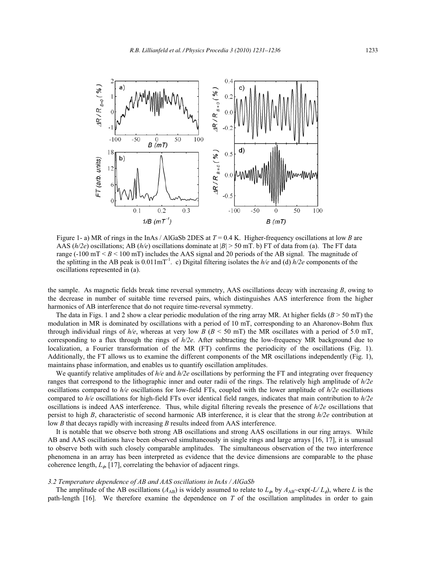

Figure 1- a) MR of rings in the InAs / AlGaSb 2DES at *T* = 0.4 K. Higher-frequency oscillations at low *B* are AAS  $(h/2e)$  oscillations; AB  $(h/e)$  oscillations dominate at  $|B| > 50$  mT. b) FT of data from (a). The FT data range  $(-100 \text{ mT} < B < 100 \text{ mT})$  includes the AAS signal and 20 periods of the AB signal. The magnitude of the splitting in the AB peak is 0.011mT-1. c) Digital filtering isolates the *h/e* and (d) *h/2e* components of the oscillations represented in (a).

the sample. As magnetic fields break time reversal symmetry, AAS oscillations decay with increasing *B*, owing to the decrease in number of suitable time reversed pairs, which distinguishes AAS interference from the higher harmonics of AB interference that do not require time-reversal symmetry.

The data in Figs. 1 and 2 show a clear periodic modulation of the ring array MR. At higher fields ( $B > 50$  mT) the modulation in MR is dominated by oscillations with a period of 10 mT, corresponding to an Aharonov-Bohm flux through individual rings of  $h/e$ , whereas at very low *B* ( $B < 50$  mT) the MR oscillates with a period of 5.0 mT, corresponding to a flux through the rings of *h/2e*. After subtracting the low-frequency MR background due to localization, a Fourier transformation of the MR (FT) confirms the periodicity of the oscillations (Fig. 1). Additionally, the FT allows us to examine the different components of the MR oscillations independently (Fig. 1), maintains phase information, and enables us to quantify oscillation amplitudes.

We quantify relative amplitudes of  $h/e$  and  $h/2e$  oscillations by performing the FT and integrating over frequency ranges that correspond to the lithographic inner and outer radii of the rings. The relatively high amplitude of *h/2e* oscillations compared to *h/e* oscillations for low-field FTs, coupled with the lower amplitude of *h/2e* oscillations compared to *h/e* oscillations for high-field FTs over identical field ranges, indicates that main contribution to *h/2e* oscillations is indeed AAS interference. Thus, while digital filtering reveals the presence of *h/2e* oscillations that persist to high *B*, characteristic of second harmonic AB interference, it is clear that the strong *h/2e* contribution at low *B* that decays rapidly with increasing *B* results indeed from AAS interference.

It is notable that we observe both strong AB oscillations and strong AAS oscillations in our ring arrays. While AB and AAS oscillations have been observed simultaneously in single rings and large arrays [16, 17], it is unusual to observe both with such closely comparable amplitudes. The simultaneous observation of the two interference phenomena in an array has been interpreted as evidence that the device dimensions are comparable to the phase coherence length,  $L_{\phi}$  [17], correlating the behavior of adjacent rings.

#### *3.2 Temperature dependence of AB and AAS oscillations in InAs / AlGaSb*

The amplitude of the AB oscillations  $(A_{AB})$  is widely assumed to relate to  $L_{\phi}$  by  $A_{AB}$  -exp(-*L/ L<sub>o</sub>*), where *L* is the path-length [16] We therefore examine the dependence on *T* of the oscillation amplitudes in order to gain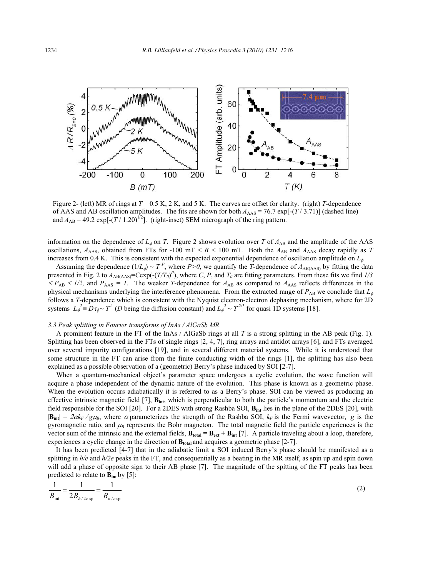

Figure 2- (left) MR of rings at  $T = 0.5$  K, 2 K, and 5 K. The curves are offset for clarity. (right) *T*-dependence of AAS and AB oscillation amplitudes. The fits are shown for both  $A_{\text{AAS}} = 76.7 \exp[-(T/3.71)]$  (dashed line) and  $A_{AB} = 49.2 \exp[-(T/1.20)^{1/2}]$ . (right-inset) SEM micrograph of the ring pattern.

information on the dependence of  $L_{\phi}$  on *T*. Figure 2 shows evolution over *T* of  $A_{AB}$  and the amplitude of the AAS oscillations,  $A_{\text{AAS}}$ , obtained from FTs for -100 mT <  $B$  < 100 mT. Both the  $A_{\text{AB}}$  and  $A_{\text{AAS}}$  decay rapidly as T increases from 0.4 K. This is consistent with the expected exponential dependence of oscillation amplitude on  $L_{\phi}$ .

Assuming the dependence  $(1/L_{\phi}) \sim T^P$ , where *P*>0, we quantify the *T*-dependence of  $A_{AB(AAS)}$  by fitting the data presented in Fig. 2 to  $A_{AB(AAS)}$ = $Cexp(-(T/T_0)^P)$ , where *C*, *P*, and  $T_0$  are fitting parameters. From these fits we find  $1/3$  $\leq P_{AB} \leq 1/2$ , and  $P_{AAS} = I$ . The weaker *T*-dependence for  $A_{AB}$  as compared to  $A_{AAS}$  reflects differences in the physical mechanisms underlying the interference phenomena. From the extracted range of  $P_{AB}$  we conclude that  $L_{\phi}$ follows a *T*-dependence which is consistent with the Nyquist electron-electron dephasing mechanism, where for 2D systems  $L_{\phi}^2 = D \tau_{\phi} \sim T^1$  (*D* being the diffusion constant) and  $L_{\phi}^2 \sim T^{2/3}$  for quasi 1D systems [18].

## *3.3 Peak splitting in Fourier transforms of InAs / AlGaSb MR*

A prominent feature in the FT of the InAs / AlGaSb rings at all *T* is a strong splitting in the AB peak (Fig. 1). Splitting has been observed in the FTs of single rings [2, 4, 7], ring arrays and antidot arrays [6], and FTs averaged over several impurity configurations [19], and in several different material systems. While it is understood that some structure in the FT can arise from the finite conducting width of the rings [1], the splitting has also been explained as a possible observation of a (geometric) Berry's phase induced by SOI [2-7].

When a quantum-mechanical object's parameter space undergoes a cyclic evolution, the wave function will acquire a phase independent of the dynamic nature of the evolution. This phase is known as a geometric phase. When the evolution occurs adiabatically it is referred to as a Berry's phase. SOI can be viewed as producing an effective intrinsic magnetic field [7],  $B_{int}$ , which is perpendicular to both the particle's momentum and the electric field responsible for the SOI [20]. For a 2DES with strong Rashba SOI,  $B_{int}$  lies in the plane of the 2DES [20], with  $|\mathbf{B}_{int}| = 2\alpha k_F/g\mu_B$ , where  $\alpha$  parameterizes the strength of the Rashba SOI,  $k_F$  is the Fermi wavevector, *g* is the gyromagnetic ratio, and  $\mu_B$  represents the Bohr magneton. The total magnetic field the particle experiences is the vector sum of the intrinsic and the external fields,  $\mathbf{B}_{\text{total}} = \mathbf{B}_{\text{ext}} + \mathbf{B}_{\text{int}}$  [7]. A particle traveling about a loop, therefore, experiences a cyclic change in the direction of  $\mathbf{B}_{total}$  and acquires a geometric phase [2-7].

It has been predicted [4-7] that in the adiabatic limit a SOI induced Berry's phase should be manifested as a splitting in  $h/e$  and  $h/2e$  peaks in the FT, and consequentially as a beating in the MR itself, as spin up and spin down will add a phase of opposite sign to their AB phase [7]. The magnitude of the spitting of the FT peaks has been predicted to relate to  $\overline{\mathbf{B}_{\text{int}}}$  by [5]:

$$
\frac{1}{B_{\text{int}}} = \frac{1}{2B_{h/2e \text{ sp}}} = \frac{1}{B_{h/e \text{ sp}}}
$$
(2)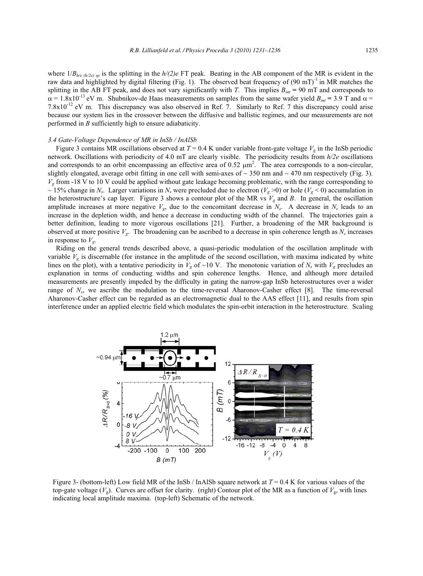where  $1/B_{h/e (h/2e)}$  is the splitting in the  $h/(2)e$  FT peak. Beating in the AB component of the MR is evident in the raw data and highlighted by digital filtering (Fig. 1). The observed beat frequency of  $(90 \text{ mT})$ <sup>1</sup> in MR matches the splitting in the AB FT peak, and does not vary significantly with *T*. This implies  $B_{int} = 90$  mT and corresponds to  $\alpha = 1.8x10^{-13}$  eV m. Shubnikov-de Haas measurements on samples from the same wafer yield  $B_{int} = 3.9$  T and  $\alpha =$  $7.8 \times 10^{-12}$  eV m. This discrepancy was also observed in Ref. 7. Similarly to Ref. 7 this discrepancy could arise because our system lies in the crossover between the diffusive and ballistic regimes, and our measurements are not performed in *B* sufficiently high to ensure adiabaticity.

#### *3.4 Gate-Voltage Dependence of MR in InSb / InAlSb*

Figure 3 contains MR oscillations observed at  $T = 0.4$  K under variable front-gate voltage  $V<sub>g</sub>$  in the InSb periodic network. Oscillations with periodicity of 4.0 mT are clearly visible. The periodicity results from *h/2e* oscillations and corresponds to an orbit encompassing an effective area of  $0.52 \mu m^2$ . The area corresponds to a non-circular, slightly elongated, average orbit fitting in one cell with semi-axes of  $\sim$  350 nm and  $\sim$  470 nm respectively (Fig. 3). *Vg* from -18 V to 10 V could be applied without gate leakage becoming problematic, with the range corresponding to  $\sim$  15% change in *N<sub>s</sub>*. Larger variations in *N<sub>s</sub>* were precluded due to electron (*V<sub>g</sub>* > 0) or hole (*V<sub>g</sub>* < 0) accumulation in the heterostructure's cap layer. Figure 3 shows a contour plot of the MR vs  $V_g$  and *B*. In general, the oscillation amplitude increases at more negative  $V_g$ , due to the concomitant decrease in  $N_s$ . A decrease in  $N_s$  leads to an increase in the depletion width, and hence a decrease in conducting width of the channel. The trajectories gain a better definition, leading to more vigorous oscillations [21]. Further, a broadening of the MR background is observed at more positive  $V_g$ . The broadening can be ascribed to a decrease in spin coherence length as  $N_s$  increases in response to  $V_g$ .

Riding on the general trends described above, a quasi-periodic modulation of the oscillation amplitude with variable  $V<sub>g</sub>$  is discernable (for instance in the amplitude of the second oscillation, with maxima indicated by white lines on the plot), with a tentative periodicity in  $V_g$  of ~10 V. The monotonic variation of  $N_s$  with  $V_g$  precludes an explanation in terms of conducting widths and spin coherence lengths. Hence, and although more detailed measurements are presently impeded by the difficulty in gating the narrow-gap InSb heterostructures over a wider range of N<sub>s</sub>, we ascribe the modulation to the time-reversal Aharonov-Casher effect [8]. The time-reversal Aharonov-Casher effect can be regarded as an electromagnetic dual to the AAS effect [11], and results from spin interference under an applied electric field which modulates the spin-orbit interaction in the heterostructure. Scaling



Figure 3- (bottom-left) Low field MR of the InSb / InAlSb square network at *T* = 0.4 K for various values of the top-gate voltage  $(V_g)$ . Curves are offset for clarity. (right) Contour plot of the MR as a function of  $V_g$ , with lines indicating local amplitude maxima. (top-left) Schematic of the network.